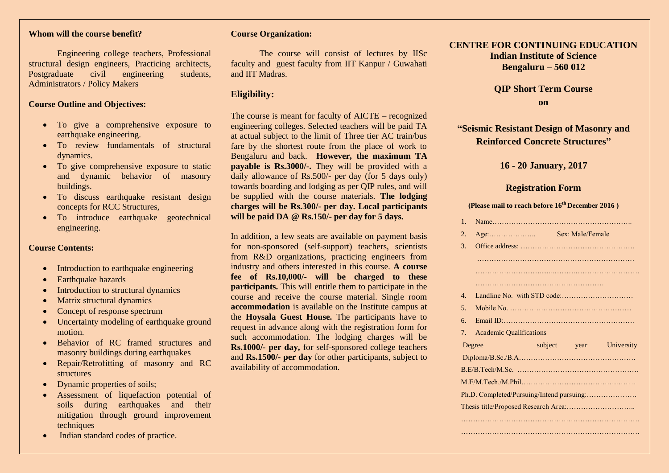#### **Whom will the course benefit?**

Engineering college teachers, Professional structural design engineers, Practicing architects, Postgraduate civil engineering students, Administrators / Policy Makers

#### **Course Outline and Objectives:**

- To give a comprehensive exposure to earthquake engineering.
- To review fundamentals of structural dynamics.
- To give comprehensive exposure to static and dynamic behavior of masonry buildings.
- To discuss earthquake resistant design concepts for RCC Structures,
- $\bullet$  To introduce earthquake geotechnical engineering.

#### **Course Contents:**

- Introduction to earthquake engineering
- Earthquake hazards
- Introduction to structural dynamics
- Matrix structural dynamics
- Concept of response spectrum
- Uncertainty modeling of earthquake ground motion.
- Behavior of RC framed structures and masonry buildings during earthquakes
- Repair/Retrofitting of masonry and RC structures
- Dynamic properties of soils;
- Assessment of liquefaction potential of soils during earthquakes and their mitigation through ground improvement techniques
- Indian standard codes of practice.

#### **Course Organization:**

The course will consist of lectures by IISc faculty and guest faculty from IIT Kanpur / Guwahati and IIT Madras.

#### **Eligibility:**

The course is meant for faculty of AICTE – recognized engineering colleges. Selected teachers will be paid TA at actual subject to the limit of Three tier AC train/bus fare by the shortest route from the place of work to Bengaluru and back. **However, the maximum TA payable is Rs.3000/-.** They will be provided with a daily allowance of Rs.500/- per day (for 5 days only) towards boarding and lodging as per QIP rules, and will be supplied with the course materials. **The lodging charges will be Rs.300/- per day. Local participants will be paid DA @ Rs.150/- per day for 5 days.** 

In addition, a few seats are available on payment basis for non-sponsored (self-support) teachers, scientists from R&D organizations, practicing engineers from industry and others interested in this course. **A course fee of Rs.10,000/- will be charged to these participants.** This will entitle them to participate in the course and receive the course material. Single room **accommodation** is available on the Institute campus at the **Hoysala Guest House.** The participants have to request in advance along with the registration form for such accommodation. The lodging charges will be **Rs.1000/- per day,** for self-sponsored college teachers and **Rs.1500/- per day** for other participants, subject to availability of accommodation.

### **CENTRE FOR CONTINUING EDUCATION Indian Institute of Science Bengaluru – 560 012**

**QIP Short Term Course on**

# **"Seismic Resistant Design of Masonry and Reinforced Concrete Structures"**

## **16 - 20 January, 2017**

# **Registration Form**

#### **(Please mail to reach before 16th December 2016 )**

|  | $1_{-}$                                   |                                           |  |                  |                         |
|--|-------------------------------------------|-------------------------------------------|--|------------------|-------------------------|
|  | 2.                                        | $Age: \ldots \ldots \ldots \ldots \ldots$ |  | Sex: Male/Female |                         |
|  | 3 <sub>1</sub>                            |                                           |  |                  |                         |
|  |                                           |                                           |  |                  |                         |
|  |                                           |                                           |  |                  |                         |
|  |                                           |                                           |  |                  |                         |
|  | $\overline{4}$                            |                                           |  |                  |                         |
|  | 5 <sub>1</sub>                            |                                           |  |                  |                         |
|  | 6.                                        |                                           |  |                  |                         |
|  | 7.                                        | <b>Academic Qualifications</b>            |  |                  |                         |
|  |                                           | Degree                                    |  |                  | subject year University |
|  |                                           |                                           |  |                  |                         |
|  |                                           |                                           |  |                  |                         |
|  |                                           |                                           |  |                  |                         |
|  | Ph.D. Completed/Pursuing/Intend pursuing: |                                           |  |                  |                         |
|  |                                           |                                           |  |                  |                         |
|  |                                           |                                           |  |                  |                         |
|  |                                           |                                           |  |                  |                         |